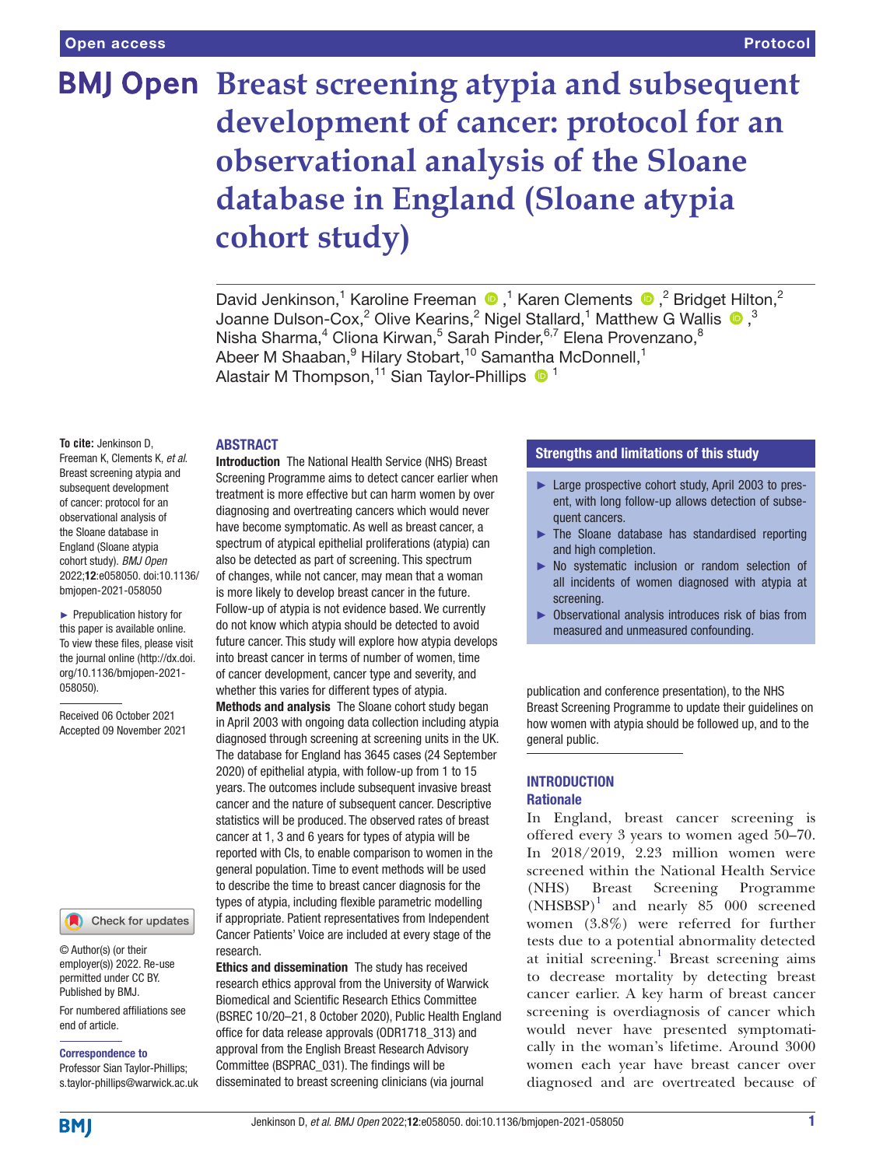# **BMJ Open Breast screening atypia and subsequent development of cancer: protocol for an observational analysis of the Sloane database in England (Sloane atypia cohort study)**

DavidJenkinson,<sup>1</sup> Karoline Freeman  $\bullet$ ,<sup>1</sup> Karen Clements  $\bullet$ ,<sup>2</sup> Bridget Hilton,<sup>2</sup> Joanne Dulson-Cox,<sup>2</sup> Olive Kearins,<sup>2</sup> Nigel Stallard,<sup>1</sup> Matthew G Wallis  $\bigcirc$ ,<sup>3</sup> Nisha Sharma,<sup>4</sup> Cliona Kirwan,<sup>5</sup> Sarah Pinder,<sup>6,7</sup> Elena Provenzano,<sup>8</sup> Abeer M Shaaban, <sup>9</sup> Hilary Stobart, <sup>10</sup> Samantha McDonnell, <sup>1</sup> Alastair M Thompson,<sup>11</sup> Sian Taylor-Phillips <sup>11</sup>

#### **ABSTRACT**

**To cite:** Jenkinson D, Freeman K, Clements K, *et al*. Breast screening atypia and subsequent development of cancer: protocol for an observational analysis of the Sloane database in England (Sloane atypia cohort study). *BMJ Open* 2022;12:e058050. doi:10.1136/ bmjopen-2021-058050

► Prepublication history for this paper is available online. To view these files, please visit the journal online [\(http://dx.doi.](http://dx.doi.org/10.1136/bmjopen-2021-058050) [org/10.1136/bmjopen-2021-](http://dx.doi.org/10.1136/bmjopen-2021-058050) [058050\)](http://dx.doi.org/10.1136/bmjopen-2021-058050).

Received 06 October 2021 Accepted 09 November 2021

## Check for updates

© Author(s) (or their employer(s)) 2022. Re-use permitted under CC BY. Published by BMJ.

For numbered affiliations see end of article.

Correspondence to

Professor Sian Taylor-Phillips; s.taylor-phillips@warwick.ac.uk

Introduction The National Health Service (NHS) Breast Screening Programme aims to detect cancer earlier when treatment is more effective but can harm women by over diagnosing and overtreating cancers which would never have become symptomatic. As well as breast cancer, a spectrum of atypical epithelial proliferations (atypia) can also be detected as part of screening. This spectrum of changes, while not cancer, may mean that a woman is more likely to develop breast cancer in the future. Follow-up of atypia is not evidence based. We currently do not know which atypia should be detected to avoid future cancer. This study will explore how atypia develops into breast cancer in terms of number of women, time of cancer development, cancer type and severity, and whether this varies for different types of atypia.

Methods and analysis The Sloane cohort study began in April 2003 with ongoing data collection including atypia diagnosed through screening at screening units in the UK. The database for England has 3645 cases (24 September 2020) of epithelial atypia, with follow-up from 1 to 15 years. The outcomes include subsequent invasive breast cancer and the nature of subsequent cancer. Descriptive statistics will be produced. The observed rates of breast cancer at 1, 3 and 6 years for types of atypia will be reported with CIs, to enable comparison to women in the general population. Time to event methods will be used to describe the time to breast cancer diagnosis for the types of atypia, including flexible parametric modelling if appropriate. Patient representatives from Independent Cancer Patients' Voice are included at every stage of the research.

Ethics and dissemination The study has received research ethics approval from the University of Warwick Biomedical and Scientific Research Ethics Committee (BSREC 10/20–21, 8 October 2020), Public Health England office for data release approvals (ODR1718\_313) and approval from the English Breast Research Advisory Committee (BSPRAC\_031). The findings will be disseminated to breast screening clinicians (via journal

## Strengths and limitations of this study

- ► Large prospective cohort study, April 2003 to present, with long follow-up allows detection of subsequent cancers.
- ► The Sloane database has standardised reporting and high completion.
- No systematic inclusion or random selection of all incidents of women diagnosed with atypia at screening.
- ► Observational analysis introduces risk of bias from measured and unmeasured confounding.

publication and conference presentation), to the NHS Breast Screening Programme to update their guidelines on how women with atypia should be followed up, and to the general public.

## INTRODUCTION **Rationale**

In England, breast cancer screening is offered every 3 years to women aged 50–70. In 2018/2019, 2.23 million women were screened within the National Health Service (NHS) Breast Screening Programme (NHSBSP)<sup>[1](#page-6-0)</sup> and nearly 85 000 screened women (3.8%) were referred for further tests due to a potential abnormality detected at initial screening.<sup>[1](#page-6-0)</sup> Breast screening aims to decrease mortality by detecting breast cancer earlier. A key harm of breast cancer screening is overdiagnosis of cancer which would never have presented symptomatically in the woman's lifetime. Around 3000 women each year have breast cancer over diagnosed and are overtreated because of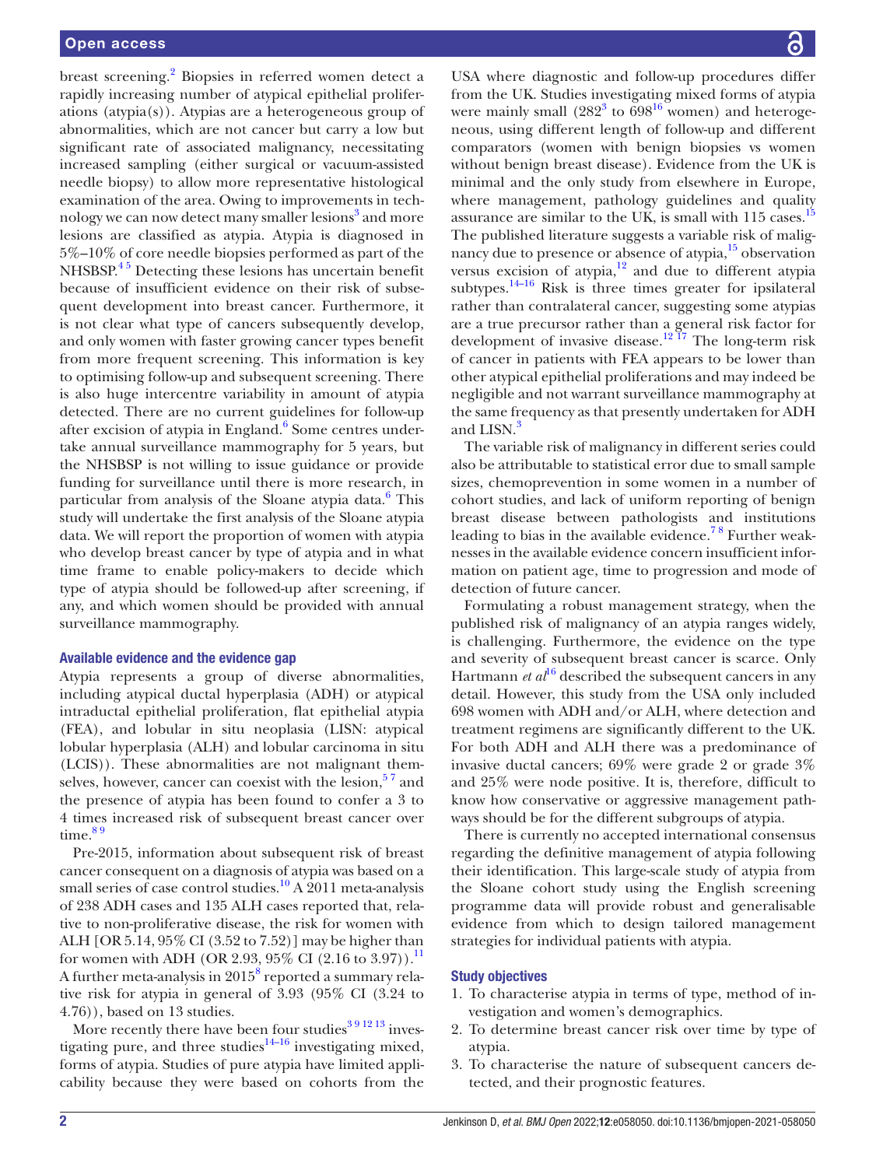breast screening.<sup>[2](#page-6-1)</sup> Biopsies in referred women detect a rapidly increasing number of atypical epithelial proliferations (atypia(s)). Atypias are a heterogeneous group of abnormalities, which are not cancer but carry a low but significant rate of associated malignancy, necessitating increased sampling (either surgical or vacuum-assisted needle biopsy) to allow more representative histological examination of the area. Owing to improvements in tech-nology we can now detect many smaller lesions<sup>[3](#page-6-2)</sup> and more lesions are classified as atypia. Atypia is diagnosed in 5%–10% of core needle biopsies performed as part of the  $NHSBSP<sup>45</sup>$  Detecting these lesions has uncertain benefit because of insufficient evidence on their risk of subsequent development into breast cancer. Furthermore, it is not clear what type of cancers subsequently develop, and only women with faster growing cancer types benefit from more frequent screening. This information is key to optimising follow-up and subsequent screening. There is also huge intercentre variability in amount of atypia detected. There are no current guidelines for follow-up after excision of atypia in England.<sup>[6](#page-6-4)</sup> Some centres undertake annual surveillance mammography for 5 years, but the NHSBSP is not willing to issue guidance or provide funding for surveillance until there is more research, in particular from analysis of the Sloane atypia data.<sup>6</sup> This study will undertake the first analysis of the Sloane atypia data. We will report the proportion of women with atypia who develop breast cancer by type of atypia and in what time frame to enable policy-makers to decide which type of atypia should be followed-up after screening, if any, and which women should be provided with annual surveillance mammography.

#### Available evidence and the evidence gap

Atypia represents a group of diverse abnormalities, including atypical ductal hyperplasia (ADH) or atypical intraductal epithelial proliferation, flat epithelial atypia (FEA), and lobular in situ neoplasia (LISN: atypical lobular hyperplasia (ALH) and lobular carcinoma in situ (LCIS)). These abnormalities are not malignant themselves, however, cancer can coexist with the lesion, $5<sup>7</sup>$  and the presence of atypia has been found to confer a 3 to 4 times increased risk of subsequent breast cancer over time. $89$ 

Pre-2015, information about subsequent risk of breast cancer consequent on a diagnosis of atypia was based on a small series of case control studies.<sup>10</sup> A 2011 meta-analysis of 238 ADH cases and 135 ALH cases reported that, relative to non-proliferative disease, the risk for women with ALH [OR 5.14, 95% CI (3.52 to 7.52)] may be higher than for women with ADH (OR 2.93, 95% CI (2.16 to 3.97)).<sup>11</sup> A further meta-analysis in  $2015^8$  $2015^8$  reported a summary relative risk for atypia in general of 3.93 (95% CI (3.24 to 4.76)), based on 13 studies.

More recently there have been four studies $391213$  investigating pure, and three studies $14-16$  investigating mixed, forms of atypia. Studies of pure atypia have limited applicability because they were based on cohorts from the

USA where diagnostic and follow-up procedures differ from the UK. Studies investigating mixed forms of atypia were mainly small  $(282^3 \text{ to } 698^{16} \text{ women})$  and heterogeneous, using different length of follow-up and different comparators (women with benign biopsies vs women without benign breast disease). Evidence from the UK is minimal and the only study from elsewhere in Europe, where management, pathology guidelines and quality assurance are similar to the UK, is small with  $115$  $115$  cases.<sup>15</sup> The published literature suggests a variable risk of malignancy due to presence or absence of atypia,<sup>15</sup> observation versus excision of atypia,<sup>[12](#page-6-12)</sup> and due to different atypia subtypes. $14-16$  Risk is three times greater for ipsilateral rather than contralateral cancer, suggesting some atypias are a true precursor rather than a general risk factor for development of invasive disease.<sup>[12 17](#page-6-12)</sup> The long-term risk of cancer in patients with FEA appears to be lower than other atypical epithelial proliferations and may indeed be negligible and not warrant surveillance mammography at the same frequency as that presently undertaken for ADH and LISN.<sup>[3](#page-6-2)</sup>

The variable risk of malignancy in different series could also be attributable to statistical error due to small sample sizes, chemoprevention in some women in a number of cohort studies, and lack of uniform reporting of benign breast disease between pathologists and institutions leading to bias in the available evidence.<sup>78</sup> Further weaknesses in the available evidence concern insufficient information on patient age, time to progression and mode of detection of future cancer.

Formulating a robust management strategy, when the published risk of malignancy of an atypia ranges widely, is challenging. Furthermore, the evidence on the type and severity of subsequent breast cancer is scarce. Only Hartmann *et al*<sup>[16](#page-6-10)</sup> described the subsequent cancers in any detail. However, this study from the USA only included 698 women with ADH and/or ALH, where detection and treatment regimens are significantly different to the UK. For both ADH and ALH there was a predominance of invasive ductal cancers; 69% were grade 2 or grade 3% and 25% were node positive. It is, therefore, difficult to know how conservative or aggressive management pathways should be for the different subgroups of atypia.

There is currently no accepted international consensus regarding the definitive management of atypia following their identification. This large-scale study of atypia from the Sloane cohort study using the English screening programme data will provide robust and generalisable evidence from which to design tailored management strategies for individual patients with atypia.

### Study objectives

- 1. To characterise atypia in terms of type, method of investigation and women's demographics.
- 2. To determine breast cancer risk over time by type of atypia.
- 3. To characterise the nature of subsequent cancers detected, and their prognostic features.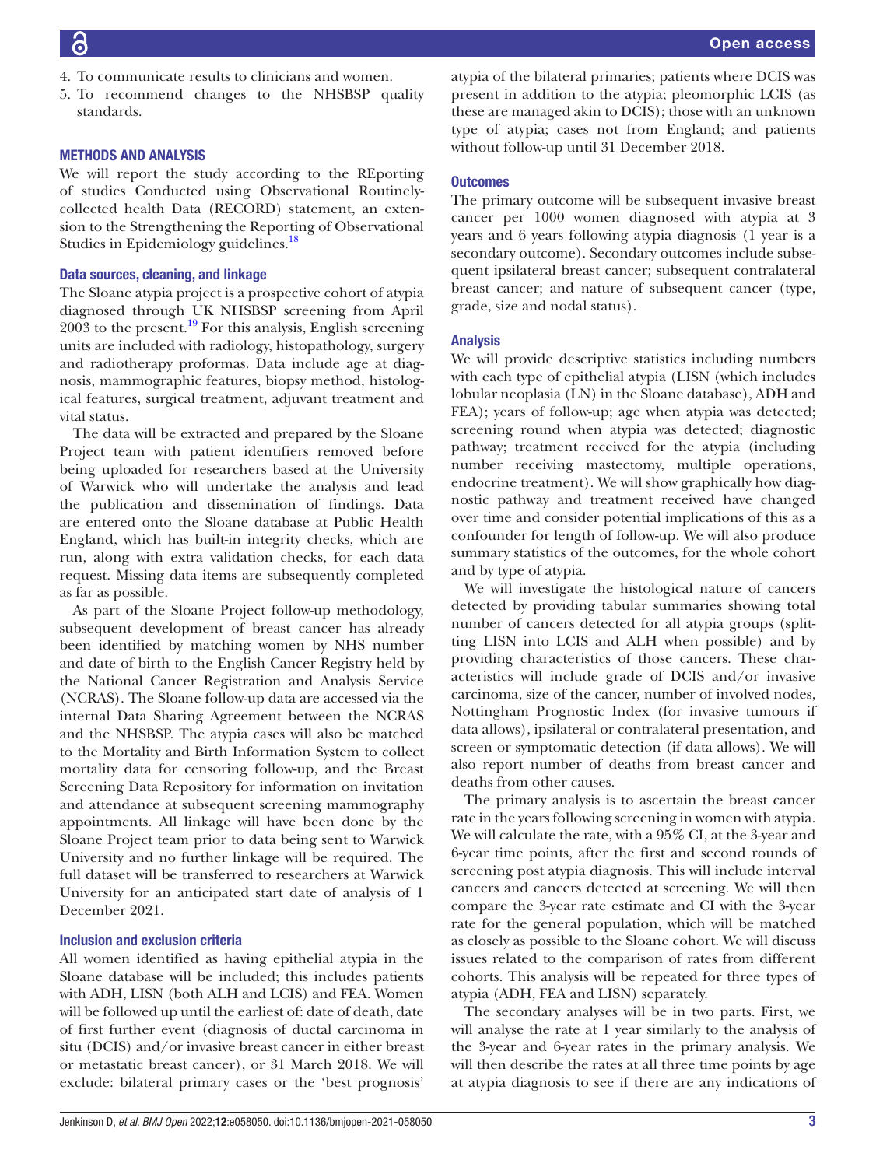- 4. To communicate results to clinicians and women.
- 5. To recommend changes to the NHSBSP quality standards.

## METHODS AND ANALYSIS

We will report the study according to the REporting of studies Conducted using Observational Routinelycollected health Data (RECORD) statement, an extension to the Strengthening the Reporting of Observational Studies in Epidemiology guidelines.<sup>18</sup>

## Data sources, cleaning, and linkage

The Sloane atypia project is a prospective cohort of atypia diagnosed through UK NHSBSP screening from April  $2003$  to the present.<sup>[19](#page-6-15)</sup> For this analysis, English screening units are included with radiology, histopathology, surgery and radiotherapy proformas. Data include age at diagnosis, mammographic features, biopsy method, histological features, surgical treatment, adjuvant treatment and vital status.

The data will be extracted and prepared by the Sloane Project team with patient identifiers removed before being uploaded for researchers based at the University of Warwick who will undertake the analysis and lead the publication and dissemination of findings. Data are entered onto the Sloane database at Public Health England, which has built-in integrity checks, which are run, along with extra validation checks, for each data request. Missing data items are subsequently completed as far as possible.

As part of the Sloane Project follow-up methodology, subsequent development of breast cancer has already been identified by matching women by NHS number and date of birth to the English Cancer Registry held by the National Cancer Registration and Analysis Service (NCRAS). The Sloane follow-up data are accessed via the internal Data Sharing Agreement between the NCRAS and the NHSBSP. The atypia cases will also be matched to the Mortality and Birth Information System to collect mortality data for censoring follow-up, and the Breast Screening Data Repository for information on invitation and attendance at subsequent screening mammography appointments. All linkage will have been done by the Sloane Project team prior to data being sent to Warwick University and no further linkage will be required. The full dataset will be transferred to researchers at Warwick University for an anticipated start date of analysis of 1 December 2021.

## Inclusion and exclusion criteria

All women identified as having epithelial atypia in the Sloane database will be included; this includes patients with ADH, LISN (both ALH and LCIS) and FEA. Women will be followed up until the earliest of: date of death, date of first further event (diagnosis of ductal carcinoma in situ (DCIS) and/or invasive breast cancer in either breast or metastatic breast cancer), or 31 March 2018. We will exclude: bilateral primary cases or the 'best prognosis'

atypia of the bilateral primaries; patients where DCIS was present in addition to the atypia; pleomorphic LCIS (as these are managed akin to DCIS); those with an unknown type of atypia; cases not from England; and patients without follow-up until 31 December 2018.

## **Outcomes**

The primary outcome will be subsequent invasive breast cancer per 1000 women diagnosed with atypia at 3 years and 6 years following atypia diagnosis (1 year is a secondary outcome). Secondary outcomes include subsequent ipsilateral breast cancer; subsequent contralateral breast cancer; and nature of subsequent cancer (type, grade, size and nodal status).

## Analysis

We will provide descriptive statistics including numbers with each type of epithelial atypia (LISN (which includes lobular neoplasia (LN) in the Sloane database), ADH and FEA); years of follow-up; age when atypia was detected; screening round when atypia was detected; diagnostic pathway; treatment received for the atypia (including number receiving mastectomy, multiple operations, endocrine treatment). We will show graphically how diagnostic pathway and treatment received have changed over time and consider potential implications of this as a confounder for length of follow-up. We will also produce summary statistics of the outcomes, for the whole cohort and by type of atypia.

We will investigate the histological nature of cancers detected by providing tabular summaries showing total number of cancers detected for all atypia groups (splitting LISN into LCIS and ALH when possible) and by providing characteristics of those cancers. These characteristics will include grade of DCIS and/or invasive carcinoma, size of the cancer, number of involved nodes, Nottingham Prognostic Index (for invasive tumours if data allows), ipsilateral or contralateral presentation, and screen or symptomatic detection (if data allows). We will also report number of deaths from breast cancer and deaths from other causes.

The primary analysis is to ascertain the breast cancer rate in the years following screening in women with atypia. We will calculate the rate, with a 95% CI, at the 3-year and 6-year time points, after the first and second rounds of screening post atypia diagnosis. This will include interval cancers and cancers detected at screening. We will then compare the 3-year rate estimate and CI with the 3-year rate for the general population, which will be matched as closely as possible to the Sloane cohort. We will discuss issues related to the comparison of rates from different cohorts. This analysis will be repeated for three types of atypia (ADH, FEA and LISN) separately.

The secondary analyses will be in two parts. First, we will analyse the rate at 1 year similarly to the analysis of the 3-year and 6-year rates in the primary analysis. We will then describe the rates at all three time points by age at atypia diagnosis to see if there are any indications of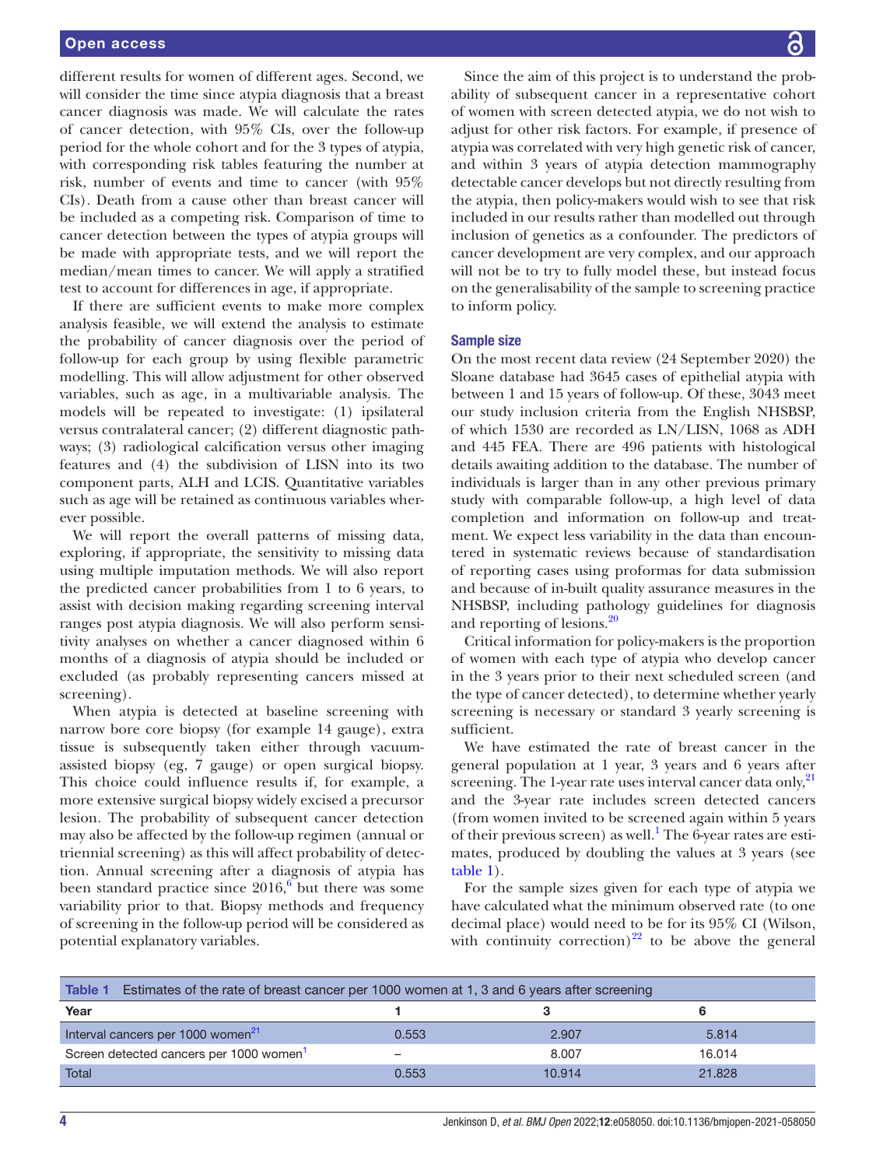different results for women of different ages. Second, we will consider the time since atypia diagnosis that a breast cancer diagnosis was made. We will calculate the rates of cancer detection, with 95% CIs, over the follow-up period for the whole cohort and for the 3 types of atypia, with corresponding risk tables featuring the number at risk, number of events and time to cancer (with 95% CIs). Death from a cause other than breast cancer will be included as a competing risk. Comparison of time to cancer detection between the types of atypia groups will be made with appropriate tests, and we will report the median/mean times to cancer. We will apply a stratified test to account for differences in age, if appropriate.

If there are sufficient events to make more complex analysis feasible, we will extend the analysis to estimate the probability of cancer diagnosis over the period of follow-up for each group by using flexible parametric modelling. This will allow adjustment for other observed variables, such as age, in a multivariable analysis. The models will be repeated to investigate: (1) ipsilateral versus contralateral cancer; (2) different diagnostic pathways; (3) radiological calcification versus other imaging features and (4) the subdivision of LISN into its two component parts, ALH and LCIS. Quantitative variables such as age will be retained as continuous variables wherever possible.

We will report the overall patterns of missing data, exploring, if appropriate, the sensitivity to missing data using multiple imputation methods. We will also report the predicted cancer probabilities from 1 to 6 years, to assist with decision making regarding screening interval ranges post atypia diagnosis. We will also perform sensitivity analyses on whether a cancer diagnosed within 6 months of a diagnosis of atypia should be included or excluded (as probably representing cancers missed at screening).

When atypia is detected at baseline screening with narrow bore core biopsy (for example 14 gauge), extra tissue is subsequently taken either through vacuumassisted biopsy (eg, 7 gauge) or open surgical biopsy. This choice could influence results if, for example, a more extensive surgical biopsy widely excised a precursor lesion. The probability of subsequent cancer detection may also be affected by the follow-up regimen (annual or triennial screening) as this will affect probability of detection. Annual screening after a diagnosis of atypia has been standard practice since  $2016<sup>6</sup>$  $2016<sup>6</sup>$  $2016<sup>6</sup>$  but there was some variability prior to that. Biopsy methods and frequency of screening in the follow-up period will be considered as potential explanatory variables.

Since the aim of this project is to understand the probability of subsequent cancer in a representative cohort of women with screen detected atypia, we do not wish to adjust for other risk factors. For example, if presence of atypia was correlated with very high genetic risk of cancer, and within 3 years of atypia detection mammography detectable cancer develops but not directly resulting from the atypia, then policy-makers would wish to see that risk included in our results rather than modelled out through inclusion of genetics as a confounder. The predictors of cancer development are very complex, and our approach will not be to try to fully model these, but instead focus on the generalisability of the sample to screening practice to inform policy.

#### Sample size

On the most recent data review (24 September 2020) the Sloane database had 3645 cases of epithelial atypia with between 1 and 15 years of follow-up. Of these, 3043 meet our study inclusion criteria from the English NHSBSP, of which 1530 are recorded as LN/LISN, 1068 as ADH and 445 FEA. There are 496 patients with histological details awaiting addition to the database. The number of individuals is larger than in any other previous primary study with comparable follow-up, a high level of data completion and information on follow-up and treatment. We expect less variability in the data than encountered in systematic reviews because of standardisation of reporting cases using proformas for data submission and because of in-built quality assurance measures in the NHSBSP, including pathology guidelines for diagnosis and reporting of lesions.[20](#page-6-16)

Critical information for policy-makers is the proportion of women with each type of atypia who develop cancer in the 3 years prior to their next scheduled screen (and the type of cancer detected), to determine whether yearly screening is necessary or standard 3 yearly screening is sufficient.

We have estimated the rate of breast cancer in the general population at 1 year, 3 years and 6 years after screening. The 1-year rate uses interval cancer data only,<sup>[21](#page-6-17)</sup> and the 3-year rate includes screen detected cancers (from women invited to be screened again within 5 years of their previous screen) as well.<sup>[1](#page-6-0)</sup> The 6-year rates are estimates, produced by doubling the values at 3 years (see [table](#page-3-0) 1).

For the sample sizes given for each type of atypia we have calculated what the minimum observed rate (to one decimal place) would need to be for its 95% CI (Wilson, with continuity correction)<sup>22</sup> to be above the general

<span id="page-3-0"></span>

| Table 1<br>Estimates of the rate of breast cancer per 1000 women at 1, 3 and 6 years after screening |       |        |        |  |  |
|------------------------------------------------------------------------------------------------------|-------|--------|--------|--|--|
| Year                                                                                                 |       |        |        |  |  |
| Interval cancers per 1000 women <sup>21</sup>                                                        | 0.553 | 2.907  | 5.814  |  |  |
| Screen detected cancers per 1000 women                                                               |       | 8.007  | 16.014 |  |  |
| Total                                                                                                | 0.553 | 10.914 | 21.828 |  |  |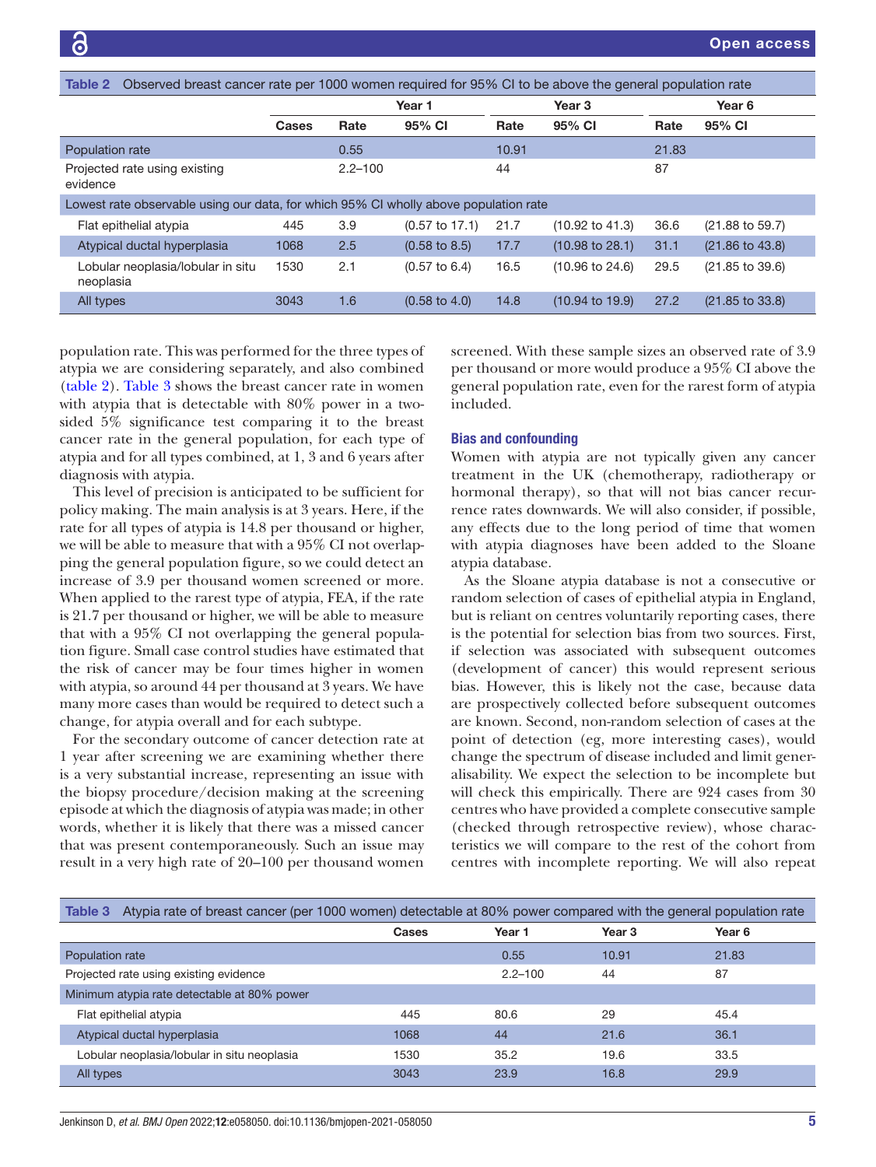<span id="page-4-0"></span>

| Observed breast cancer rate per 1000 women required for 95% CI to be above the general population rate<br>Table 2 |              |             |                           |                   |                            |        |                            |
|-------------------------------------------------------------------------------------------------------------------|--------------|-------------|---------------------------|-------------------|----------------------------|--------|----------------------------|
|                                                                                                                   |              | Year 1      |                           | Year <sub>3</sub> |                            | Year 6 |                            |
|                                                                                                                   | <b>Cases</b> | Rate        | 95% CI                    | Rate              | 95% CI                     | Rate   | 95% CI                     |
| Population rate                                                                                                   |              | 0.55        |                           | 10.91             |                            | 21.83  |                            |
| Projected rate using existing<br>evidence                                                                         |              | $2.2 - 100$ |                           | 44                |                            | 87     |                            |
| Lowest rate observable using our data, for which 95% CI wholly above population rate                              |              |             |                           |                   |                            |        |                            |
| Flat epithelial atypia                                                                                            | 445          | 3.9         | $(0.57 \text{ to } 17.1)$ | 21.7              | $(10.92 \text{ to } 41.3)$ | 36.6   | (21.88 to 59.7)            |
| Atypical ductal hyperplasia                                                                                       | 1068         | 2.5         | $(0.58 \text{ to } 8.5)$  | 17.7              | $(10.98 \text{ to } 28.1)$ | 31.1   | $(21.86 \text{ to } 43.8)$ |
| Lobular neoplasia/lobular in situ<br>neoplasia                                                                    | 1530         | 2.1         | $(0.57 \text{ to } 6.4)$  | 16.5              | $(10.96 \text{ to } 24.6)$ | 29.5   | $(21.85 \text{ to } 39.6)$ |
| All types                                                                                                         | 3043         | 1.6         | $(0.58 \text{ to } 4.0)$  | 14.8              | $(10.94 \text{ to } 19.9)$ | 27.2   | $(21.85 \text{ to } 33.8)$ |

population rate. This was performed for the three types of atypia we are considering separately, and also combined ([table](#page-4-0) 2). [Table](#page-4-1) 3 shows the breast cancer rate in women with atypia that is detectable with 80% power in a twosided 5% significance test comparing it to the breast cancer rate in the general population, for each type of atypia and for all types combined, at 1, 3 and 6 years after diagnosis with atypia.

This level of precision is anticipated to be sufficient for policy making. The main analysis is at 3 years. Here, if the rate for all types of atypia is 14.8 per thousand or higher, we will be able to measure that with a 95% CI not overlapping the general population figure, so we could detect an increase of 3.9 per thousand women screened or more. When applied to the rarest type of atypia, FEA, if the rate is 21.7 per thousand or higher, we will be able to measure that with a 95% CI not overlapping the general population figure. Small case control studies have estimated that the risk of cancer may be four times higher in women with atypia, so around 44 per thousand at 3 years. We have many more cases than would be required to detect such a change, for atypia overall and for each subtype.

For the secondary outcome of cancer detection rate at 1 year after screening we are examining whether there is a very substantial increase, representing an issue with the biopsy procedure/decision making at the screening episode at which the diagnosis of atypia was made; in other words, whether it is likely that there was a missed cancer that was present contemporaneously. Such an issue may result in a very high rate of 20–100 per thousand women

screened. With these sample sizes an observed rate of 3.9 per thousand or more would produce a 95% CI above the general population rate, even for the rarest form of atypia included.

## Bias and confounding

Women with atypia are not typically given any cancer treatment in the UK (chemotherapy, radiotherapy or hormonal therapy), so that will not bias cancer recurrence rates downwards. We will also consider, if possible, any effects due to the long period of time that women with atypia diagnoses have been added to the Sloane atypia database.

As the Sloane atypia database is not a consecutive or random selection of cases of epithelial atypia in England, but is reliant on centres voluntarily reporting cases, there is the potential for selection bias from two sources. First, if selection was associated with subsequent outcomes (development of cancer) this would represent serious bias. However, this is likely not the case, because data are prospectively collected before subsequent outcomes are known. Second, non-random selection of cases at the point of detection (eg, more interesting cases), would change the spectrum of disease included and limit generalisability. We expect the selection to be incomplete but will check this empirically. There are 924 cases from 30 centres who have provided a complete consecutive sample (checked through retrospective review), whose characteristics we will compare to the rest of the cohort from centres with incomplete reporting. We will also repeat

<span id="page-4-1"></span>

| Atypia rate of breast cancer (per 1000 women) detectable at 80% power compared with the general population rate<br>Table 3 |       |             |        |        |  |  |
|----------------------------------------------------------------------------------------------------------------------------|-------|-------------|--------|--------|--|--|
|                                                                                                                            | Cases | Year 1      | Year 3 | Year 6 |  |  |
| Population rate                                                                                                            |       | 0.55        | 10.91  | 21.83  |  |  |
| Projected rate using existing evidence                                                                                     |       | $2.2 - 100$ | 44     | 87     |  |  |
| Minimum atypia rate detectable at 80% power                                                                                |       |             |        |        |  |  |
| Flat epithelial atypia                                                                                                     | 445   | 80.6        | 29     | 45.4   |  |  |
| Atypical ductal hyperplasia                                                                                                | 1068  | 44          | 21.6   | 36.1   |  |  |
| Lobular neoplasia/lobular in situ neoplasia                                                                                | 1530  | 35.2        | 19.6   | 33.5   |  |  |
| All types                                                                                                                  | 3043  | 23.9        | 16.8   | 29.9   |  |  |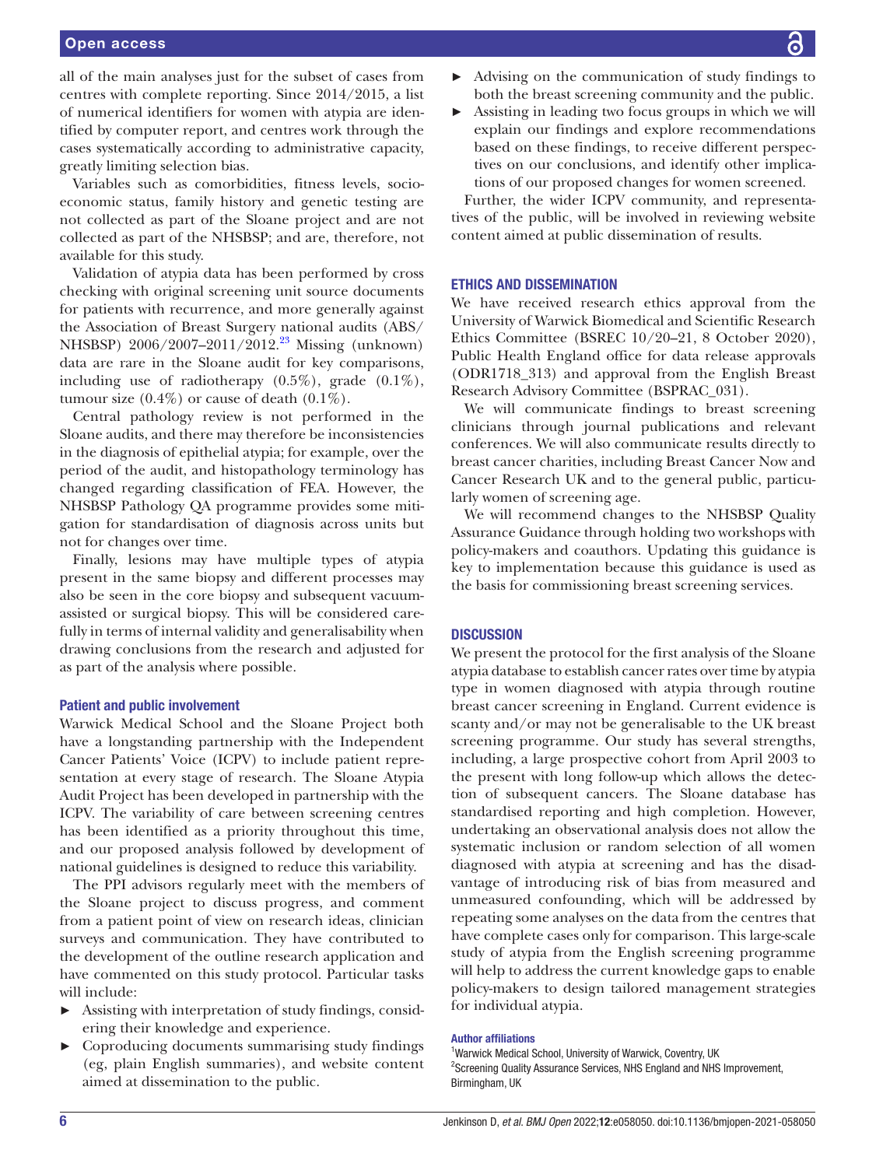## Open access

all of the main analyses just for the subset of cases from centres with complete reporting. Since 2014/2015, a list of numerical identifiers for women with atypia are identified by computer report, and centres work through the cases systematically according to administrative capacity, greatly limiting selection bias.

Variables such as comorbidities, fitness levels, socioeconomic status, family history and genetic testing are not collected as part of the Sloane project and are not collected as part of the NHSBSP; and are, therefore, not available for this study.

Validation of atypia data has been performed by cross checking with original screening unit source documents for patients with recurrence, and more generally against the Association of Breast Surgery national audits (ABS/ NHSBSP) 2006/2007–2011/2012.<sup>23</sup> Missing (unknown) data are rare in the Sloane audit for key comparisons, including use of radiotherapy (0.5%), grade (0.1%), tumour size  $(0.4\%)$  or cause of death  $(0.1\%)$ .

Central pathology review is not performed in the Sloane audits, and there may therefore be inconsistencies in the diagnosis of epithelial atypia; for example, over the period of the audit, and histopathology terminology has changed regarding classification of FEA. However, the NHSBSP Pathology QA programme provides some mitigation for standardisation of diagnosis across units but not for changes over time.

Finally, lesions may have multiple types of atypia present in the same biopsy and different processes may also be seen in the core biopsy and subsequent vacuumassisted or surgical biopsy. This will be considered carefully in terms of internal validity and generalisability when drawing conclusions from the research and adjusted for as part of the analysis where possible.

#### Patient and public involvement

Warwick Medical School and the Sloane Project both have a longstanding partnership with the Independent Cancer Patients' Voice (ICPV) to include patient representation at every stage of research. The Sloane Atypia Audit Project has been developed in partnership with the ICPV. The variability of care between screening centres has been identified as a priority throughout this time, and our proposed analysis followed by development of national guidelines is designed to reduce this variability.

The PPI advisors regularly meet with the members of the Sloane project to discuss progress, and comment from a patient point of view on research ideas, clinician surveys and communication. They have contributed to the development of the outline research application and have commented on this study protocol. Particular tasks will include:

- Assisting with interpretation of study findings, considering their knowledge and experience.
- ► Coproducing documents summarising study findings (eg, plain English summaries), and website content aimed at dissemination to the public.
- ► Advising on the communication of study findings to both the breast screening community and the public.
- Assisting in leading two focus groups in which we will explain our findings and explore recommendations based on these findings, to receive different perspectives on our conclusions, and identify other implications of our proposed changes for women screened.

Further, the wider ICPV community, and representatives of the public, will be involved in reviewing website content aimed at public dissemination of results.

#### ETHICS AND DISSEMINATION

We have received research ethics approval from the University of Warwick Biomedical and Scientific Research Ethics Committee (BSREC 10/20–21, 8 October 2020), Public Health England office for data release approvals (ODR1718\_313) and approval from the English Breast Research Advisory Committee (BSPRAC\_031).

We will communicate findings to breast screening clinicians through journal publications and relevant conferences. We will also communicate results directly to breast cancer charities, including Breast Cancer Now and Cancer Research UK and to the general public, particularly women of screening age.

We will recommend changes to the NHSBSP Quality Assurance Guidance through holding two workshops with policy-makers and coauthors. Updating this guidance is key to implementation because this guidance is used as the basis for commissioning breast screening services.

## **DISCUSSION**

We present the protocol for the first analysis of the Sloane atypia database to establish cancer rates over time by atypia type in women diagnosed with atypia through routine breast cancer screening in England. Current evidence is scanty and/or may not be generalisable to the UK breast screening programme. Our study has several strengths, including, a large prospective cohort from April 2003 to the present with long follow-up which allows the detection of subsequent cancers. The Sloane database has standardised reporting and high completion. However, undertaking an observational analysis does not allow the systematic inclusion or random selection of all women diagnosed with atypia at screening and has the disadvantage of introducing risk of bias from measured and unmeasured confounding, which will be addressed by repeating some analyses on the data from the centres that have complete cases only for comparison. This large-scale study of atypia from the English screening programme will help to address the current knowledge gaps to enable policy-makers to design tailored management strategies for individual atypia.

#### Author affiliations

<sup>1</sup>Warwick Medical School, University of Warwick, Coventry, UK <sup>2</sup>Screening Quality Assurance Services, NHS England and NHS Improvement, Birmingham, UK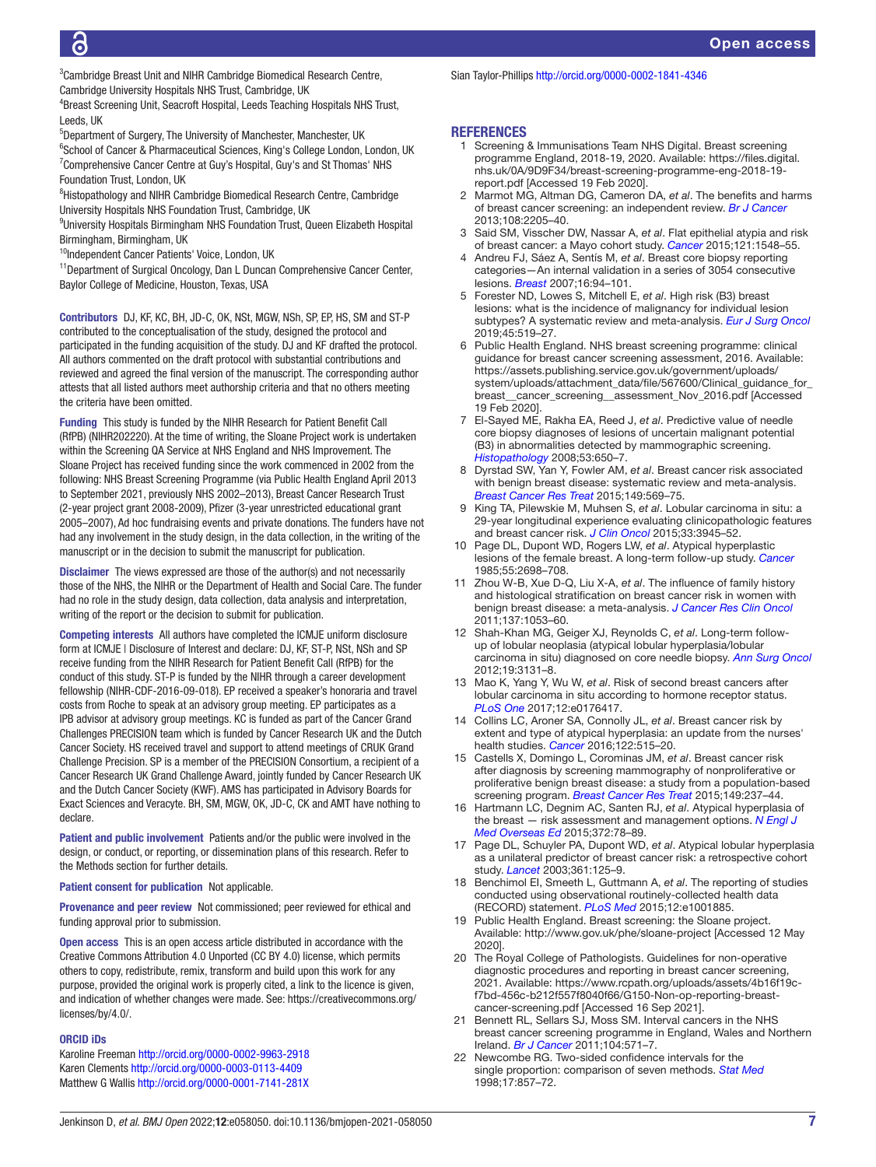<sup>3</sup> Cambridge Breast Unit and NIHR Cambridge Biomedical Research Centre, Cambridge University Hospitals NHS Trust, Cambridge, UK

4 Breast Screening Unit, Seacroft Hospital, Leeds Teaching Hospitals NHS Trust, Leeds, UK

5 Department of Surgery, The University of Manchester, Manchester, UK <sup>6</sup>School of Cancer & Pharmaceutical Sciences, King's College London, London, UK <sup>7</sup> Comprehensive Cancer Centre at Guy's Hospital, Guy's and St Thomas' NHS Foundation Trust, London, UK

<sup>8</sup>Histopathology and NIHR Cambridge Biomedical Research Centre, Cambridge University Hospitals NHS Foundation Trust, Cambridge, UK

9 University Hospitals Birmingham NHS Foundation Trust, Queen Elizabeth Hospital Birmingham, Birmingham, UK

<sup>10</sup>Independent Cancer Patients' Voice, London, UK

<sup>11</sup>Department of Surgical Oncology, Dan L Duncan Comprehensive Cancer Center, Baylor College of Medicine, Houston, Texas, USA

Contributors DJ, KF, KC, BH, JD-C, OK, NSt, MGW, NSh, SP, EP, HS, SM and ST-P contributed to the conceptualisation of the study, designed the protocol and participated in the funding acquisition of the study. DJ and KF drafted the protocol. All authors commented on the draft protocol with substantial contributions and reviewed and agreed the final version of the manuscript. The corresponding author attests that all listed authors meet authorship criteria and that no others meeting the criteria have been omitted.

Funding This study is funded by the NIHR Research for Patient Benefit Call (RfPB) (NIHR202220). At the time of writing, the Sloane Project work is undertaken within the Screening QA Service at NHS England and NHS Improvement. The Sloane Project has received funding since the work commenced in 2002 from the following: NHS Breast Screening Programme (via Public Health England April 2013 to September 2021, previously NHS 2002–2013), Breast Cancer Research Trust (2-year project grant 2008-2009), Pfizer (3-year unrestricted educational grant 2005–2007), Ad hoc fundraising events and private donations. The funders have not had any involvement in the study design, in the data collection, in the writing of the manuscript or in the decision to submit the manuscript for publication.

Disclaimer The views expressed are those of the author(s) and not necessarily those of the NHS, the NIHR or the Department of Health and Social Care. The funder had no role in the study design, data collection, data analysis and interpretation, writing of the report or the decision to submit for publication.

Competing interests All authors have completed the ICMJE uniform disclosure form at ICMJE | Disclosure of Interest and declare: DJ, KF, ST-P, NSt, NSh and SP receive funding from the NIHR Research for Patient Benefit Call (RfPB) for the conduct of this study. ST-P is funded by the NIHR through a career development fellowship (NIHR-CDF-2016-09-018). EP received a speaker's honoraria and travel costs from Roche to speak at an advisory group meeting. EP participates as a IPB advisor at advisory group meetings. KC is funded as part of the Cancer Grand Challenges PRECISION team which is funded by Cancer Research UK and the Dutch Cancer Society. HS received travel and support to attend meetings of CRUK Grand Challenge Precision. SP is a member of the PRECISION Consortium, a recipient of a Cancer Research UK Grand Challenge Award, jointly funded by Cancer Research UK and the Dutch Cancer Society (KWF). AMS has participated in Advisory Boards for Exact Sciences and Veracyte. BH, SM, MGW, OK, JD-C, CK and AMT have nothing to declare.

Patient and public involvement Patients and/or the public were involved in the design, or conduct, or reporting, or dissemination plans of this research. Refer to the Methods section for further details.

#### Patient consent for publication Not applicable.

Provenance and peer review Not commissioned; peer reviewed for ethical and funding approval prior to submission.

Open access This is an open access article distributed in accordance with the Creative Commons Attribution 4.0 Unported (CC BY 4.0) license, which permits others to copy, redistribute, remix, transform and build upon this work for any purpose, provided the original work is properly cited, a link to the licence is given, and indication of whether changes were made. See: [https://creativecommons.org/](https://creativecommons.org/licenses/by/4.0/) [licenses/by/4.0/.](https://creativecommons.org/licenses/by/4.0/)

#### ORCID iDs

Karoline Freeman<http://orcid.org/0000-0002-9963-2918> Karen Clements<http://orcid.org/0000-0003-0113-4409> Matthew G Wallis <http://orcid.org/0000-0001-7141-281X>

Sian Taylor-Phillips <http://orcid.org/0000-0002-1841-4346>

#### **REFERENCES**

- <span id="page-6-0"></span>1 Screening & Immunisations Team NHS Digital. Breast screening programme England, 2018-19, 2020. Available: [https://files.digital.](https://files.digital.nhs.uk/0A/9D9F34/breast-screening-programme-eng-2018-19-report.pdf) [nhs.uk/0A/9D9F34/breast-screening-programme-eng-2018-19](https://files.digital.nhs.uk/0A/9D9F34/breast-screening-programme-eng-2018-19-report.pdf) [report.pdf](https://files.digital.nhs.uk/0A/9D9F34/breast-screening-programme-eng-2018-19-report.pdf) [Accessed 19 Feb 2020].
- <span id="page-6-1"></span>2 Marmot MG, Altman DG, Cameron DA, *et al*. The benefits and harms of breast cancer screening: an independent review. *[Br J Cancer](http://dx.doi.org/10.1038/bjc.2013.177)* 2013;108:2205–40.
- <span id="page-6-2"></span>3 Said SM, Visscher DW, Nassar A, *et al*. Flat epithelial atypia and risk of breast cancer: a Mayo cohort study. *[Cancer](http://dx.doi.org/10.1002/cncr.29243)* 2015;121:1548–55.
- <span id="page-6-3"></span>4 Andreu FJ, Sáez A, Sentís M, *et al*. Breast core biopsy reporting categories—An internal validation in a series of 3054 consecutive lesions. *[Breast](http://dx.doi.org/10.1016/j.breast.2006.06.009)* 2007;16:94–101.
- <span id="page-6-5"></span>5 Forester ND, Lowes S, Mitchell E, *et al*. High risk (B3) breast lesions: what is the incidence of malignancy for individual lesion subtypes? A systematic review and meta-analysis. *[Eur J Surg Oncol](http://dx.doi.org/10.1016/j.ejso.2018.12.008)* 2019;45:519–27.
- <span id="page-6-4"></span>6 Public Health England. NHS breast screening programme: clinical guidance for breast cancer screening assessment, 2016. Available: [https://assets.publishing.service.gov.uk/government/uploads/](https://assets.publishing.service.gov.uk/government/uploads/system/uploads/attachment_data/file/567600/Clinical_guidance_for_breast__cancer_screening__assessment_Nov_2016.pdf) [system/uploads/attachment\\_data/file/567600/Clinical\\_guidance\\_for\\_](https://assets.publishing.service.gov.uk/government/uploads/system/uploads/attachment_data/file/567600/Clinical_guidance_for_breast__cancer_screening__assessment_Nov_2016.pdf) [breast\\_\\_cancer\\_screening\\_\\_assessment\\_Nov\\_2016.pdf](https://assets.publishing.service.gov.uk/government/uploads/system/uploads/attachment_data/file/567600/Clinical_guidance_for_breast__cancer_screening__assessment_Nov_2016.pdf) [Accessed 19 Feb 2020].
- <span id="page-6-13"></span>7 El-Sayed ME, Rakha EA, Reed J, *et al*. Predictive value of needle core biopsy diagnoses of lesions of uncertain malignant potential (B3) in abnormalities detected by mammographic screening. *[Histopathology](http://dx.doi.org/10.1111/j.1365-2559.2008.03158.x)* 2008;53:650–7.
- <span id="page-6-6"></span>8 Dyrstad SW, Yan Y, Fowler AM, *et al*. Breast cancer risk associated with benign breast disease: systematic review and meta-analysis. *[Breast Cancer Res Treat](http://dx.doi.org/10.1007/s10549-014-3254-6)* 2015;149:569–75.
- 9 King TA, Pilewskie M, Muhsen S, *et al*. Lobular carcinoma in situ: a 29-year longitudinal experience evaluating clinicopathologic features and breast cancer risk. *[J Clin Oncol](http://dx.doi.org/10.1200/JCO.2015.61.4743)* 2015;33:3945–52.
- <span id="page-6-7"></span>10 Page DL, Dupont WD, Rogers LW, *et al*. Atypical hyperplastic lesions of the female breast. A long-term follow-up study. *[Cancer](http://dx.doi.org/10.1002/1097-0142(19850601)55:11<2698::AID-CNCR2820551127>3.0.CO;2-A)* 1985;55:2698–708.
- <span id="page-6-8"></span>11 Zhou W-B, Xue D-Q, Liu X-A, *et al*. The influence of family history and histological stratification on breast cancer risk in women with benign breast disease: a meta-analysis. *[J Cancer Res Clin Oncol](http://dx.doi.org/10.1007/s00432-011-0979-z)* 2011;137:1053–60.
- <span id="page-6-12"></span>12 Shah-Khan MG, Geiger XJ, Reynolds C, *et al*. Long-term followup of lobular neoplasia (atypical lobular hyperplasia/lobular carcinoma in situ) diagnosed on core needle biopsy. *[Ann Surg Oncol](http://dx.doi.org/10.1245/s10434-012-2534-9)* 2012;19:3131–8.
- 13 Mao K, Yang Y, Wu W, *et al*. Risk of second breast cancers after lobular carcinoma in situ according to hormone receptor status. *[PLoS One](http://dx.doi.org/10.1371/journal.pone.0176417)* 2017;12:e0176417.
- <span id="page-6-9"></span>14 Collins LC, Aroner SA, Connolly JL, *et al*. Breast cancer risk by extent and type of atypical hyperplasia: an update from the nurses' health studies. *[Cancer](http://dx.doi.org/10.1002/cncr.29775)* 2016;122:515–20.
- <span id="page-6-11"></span>15 Castells X, Domingo L, Corominas JM, *et al*. Breast cancer risk after diagnosis by screening mammography of nonproliferative or proliferative benign breast disease: a study from a population-based screening program. *[Breast Cancer Res Treat](http://dx.doi.org/10.1007/s10549-014-3208-z)* 2015;149:237–44.
- <span id="page-6-10"></span>16 Hartmann LC, Degnim AC, Santen RJ, *et al*. Atypical hyperplasia of the breast — risk assessment and management options. *[N Engl J](http://dx.doi.org/10.1056/NEJMsr1407164)  [Med Overseas Ed](http://dx.doi.org/10.1056/NEJMsr1407164)* 2015;372:78–89.
- 17 Page DL, Schuyler PA, Dupont WD, *et al*. Atypical lobular hyperplasia as a unilateral predictor of breast cancer risk: a retrospective cohort study. *[Lancet](http://dx.doi.org/10.1016/S0140-6736(03)12230-1)* 2003;361:125–9.
- <span id="page-6-14"></span>18 Benchimol EI, Smeeth L, Guttmann A, *et al*. The reporting of studies conducted using observational routinely-collected health data (RECORD) statement. *[PLoS Med](http://dx.doi.org/10.1371/journal.pmed.1001885)* 2015;12:e1001885.
- <span id="page-6-15"></span>19 Public Health England. Breast screening: the Sloane project. Available: <http://www.gov.uk/phe/sloane-project>[Accessed 12 May 2020].
- <span id="page-6-16"></span>20 The Royal College of Pathologists. Guidelines for non-operative diagnostic procedures and reporting in breast cancer screening, 2021. Available: [https://www.rcpath.org/uploads/assets/4b16f19c](https://www.rcpath.org/uploads/assets/4b16f19c-f7bd-456c-b212f557f8040f66/G150-Non-op-reporting-breast-cancer-screening.pdf)[f7bd-456c-b212f557f8040f66/G150-Non-op-reporting-breast](https://www.rcpath.org/uploads/assets/4b16f19c-f7bd-456c-b212f557f8040f66/G150-Non-op-reporting-breast-cancer-screening.pdf)[cancer-screening.pdf](https://www.rcpath.org/uploads/assets/4b16f19c-f7bd-456c-b212f557f8040f66/G150-Non-op-reporting-breast-cancer-screening.pdf) [Accessed 16 Sep 2021].
- <span id="page-6-17"></span>21 Bennett RL, Sellars SJ, Moss SM. Interval cancers in the NHS breast cancer screening programme in England, Wales and Northern Ireland. *[Br J Cancer](http://dx.doi.org/10.1038/bjc.2011.3)* 2011;104:571–7.
- <span id="page-6-18"></span>22 Newcombe RG. Two-sided confidence intervals for the single proportion: comparison of seven methods. *[Stat Med](http://dx.doi.org/10.1002/(SICI)1097-0258(19980430)17:8<857::AID-SIM777>3.0.CO;2-E)* 1998;17:857–72.